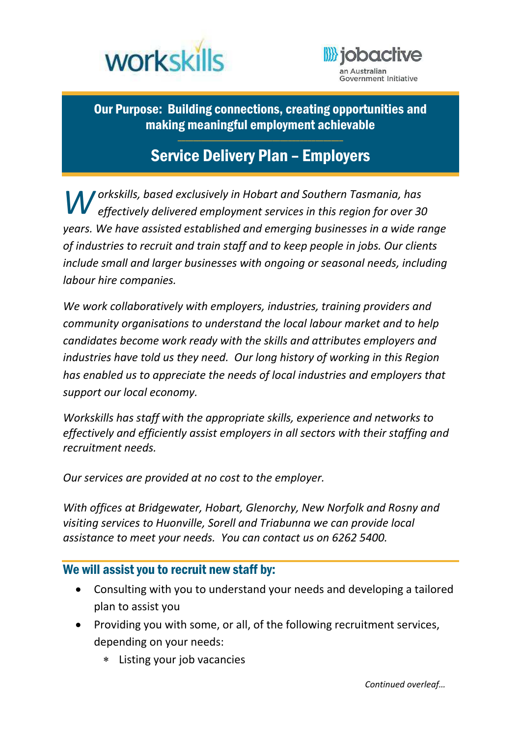



Our Purpose: Building connections, creating opportunities and making meaningful employment achievable

## Service Delivery Plan – Employers

\_\_\_\_\_\_\_\_\_\_\_\_\_\_\_\_\_\_\_\_\_\_\_\_\_\_\_\_\_\_\_\_\_\_\_\_\_\_\_\_\_\_

*orkskills, based exclusively in Hobart and Southern Tasmania, has W effectively delivered employment services in this region for over 30 years. We have assisted established and emerging businesses in a wide range of industries to recruit and train staff and to keep people in jobs. Our clients include small and larger businesses with ongoing or seasonal needs, including labour hire companies.* 

*We work collaboratively with employers, industries, training providers and community organisations to understand the local labour market and to help candidates become work ready with the skills and attributes employers and industries have told us they need. Our long history of working in this Region has enabled us to appreciate the needs of local industries and employers that support our local economy.* 

*Workskills has staff with the appropriate skills, experience and networks to effectively and efficiently assist employers in all sectors with their staffing and recruitment needs.* 

*Our services are provided at no cost to the employer.* 

*With offices at Bridgewater, Hobart, Glenorchy, New Norfolk and Rosny and visiting services to Huonville, Sorell and Triabunna we can provide local assistance to meet your needs. You can contact us on 6262 5400.* 

## We will assist you to recruit new staff by:

- Consulting with you to understand your needs and developing a tailored plan to assist you
- Providing you with some, or all, of the following recruitment services, depending on your needs:
	- Listing your job vacancies